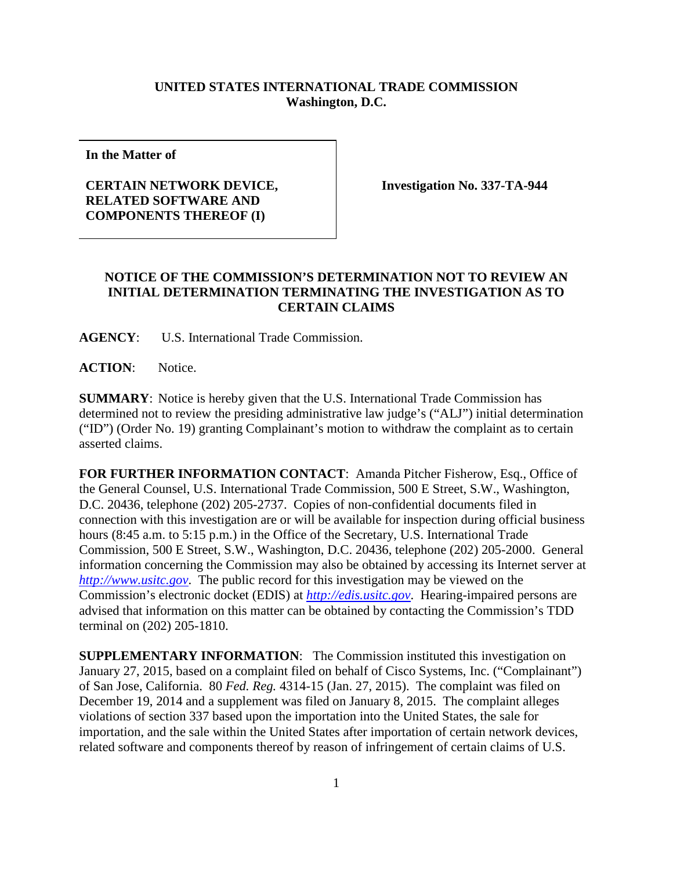## **UNITED STATES INTERNATIONAL TRADE COMMISSION Washington, D.C.**

**In the Matter of**

## **CERTAIN NETWORK DEVICE, RELATED SOFTWARE AND COMPONENTS THEREOF (I)**

**Investigation No. 337-TA-944**

## **NOTICE OF THE COMMISSION'S DETERMINATION NOT TO REVIEW AN INITIAL DETERMINATION TERMINATING THE INVESTIGATION AS TO CERTAIN CLAIMS**

**AGENCY**: U.S. International Trade Commission.

**ACTION**: Notice.

**SUMMARY**: Notice is hereby given that the U.S. International Trade Commission has determined not to review the presiding administrative law judge's ("ALJ") initial determination ("ID") (Order No. 19) granting Complainant's motion to withdraw the complaint as to certain asserted claims.

**FOR FURTHER INFORMATION CONTACT:** Amanda Pitcher Fisherow, Esq., Office of the General Counsel, U.S. International Trade Commission, 500 E Street, S.W., Washington, D.C. 20436, telephone (202) 205-2737. Copies of non-confidential documents filed in connection with this investigation are or will be available for inspection during official business hours (8:45 a.m. to 5:15 p.m.) in the Office of the Secretary, U.S. International Trade Commission, 500 E Street, S.W., Washington, D.C. 20436, telephone (202) 205-2000. General information concerning the Commission may also be obtained by accessing its Internet server at *[http://www.usitc.gov](http://www.usitc.gov/)*. The public record for this investigation may be viewed on the Commission's electronic docket (EDIS) at *[http://edis.usitc.gov](http://edis.usitc.gov/)*. Hearing-impaired persons are advised that information on this matter can be obtained by contacting the Commission's TDD terminal on (202) 205-1810.

**SUPPLEMENTARY INFORMATION**: The Commission instituted this investigation on January 27, 2015, based on a complaint filed on behalf of Cisco Systems, Inc. ("Complainant") of San Jose, California. 80 *Fed. Reg.* 4314-15 (Jan. 27, 2015). The complaint was filed on December 19, 2014 and a supplement was filed on January 8, 2015. The complaint alleges violations of section 337 based upon the importation into the United States, the sale for importation, and the sale within the United States after importation of certain network devices, related software and components thereof by reason of infringement of certain claims of U.S.